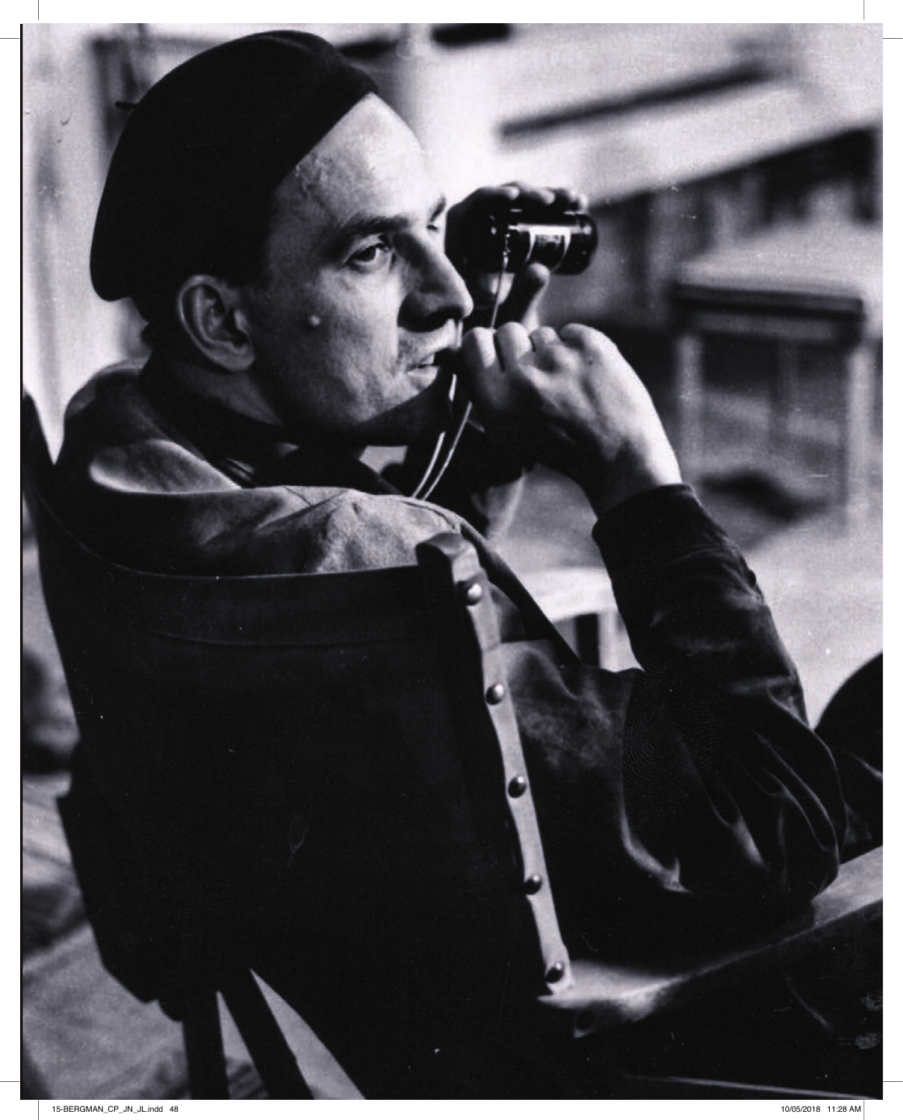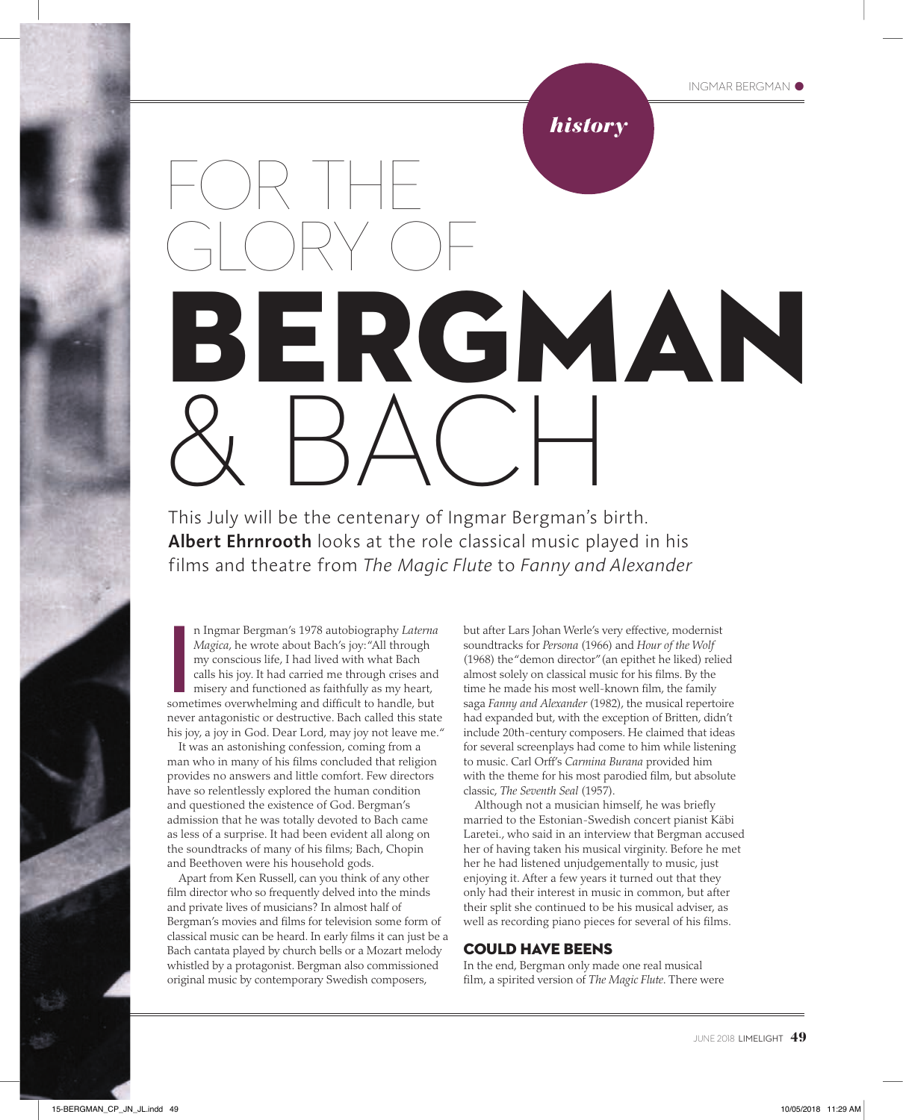# *history*

# FOR THE GLORY OF BERGMAN & BACH

This July will be the centenary of Ingmar Bergman's birth. **Albert Ehrnrooth** looks at the role classical music played in his films and theatre from *The Magic Flute* to *Fanny and Alexander*

In Ingmar Bergman's 1978 autobiography *Laterna*<br> *Magica*, he wrote about Bach's joy: "All through<br>
my conscious life, I had lived with what Bach<br>
calls his joy. It had carried me through crises and<br>
misery and functioned n Ingmar Bergman's 1978 autobiography *Laterna Magica*, he wrote about Bach's joy: "All through my conscious life, I had lived with what Bach calls his joy. It had carried me through crises and misery and functioned as faithfully as my heart, never antagonistic or destructive. Bach called this state his joy, a joy in God. Dear Lord, may joy not leave me."

It was an astonishing confession, coming from a man who in many of his films concluded that religion provides no answers and little comfort. Few directors have so relentlessly explored the human condition and questioned the existence of God. Bergman's admission that he was totally devoted to Bach came as less of a surprise. It had been evident all along on the soundtracks of many of his films; Bach, Chopin and Beethoven were his household gods.

Apart from Ken Russell, can you think of any other film director who so frequently delved into the minds and private lives of musicians? In almost half of Bergman's movies and films for television some form of classical music can be heard. In early films it can just be a Bach cantata played by church bells or a Mozart melody whistled by a protagonist. Bergman also commissioned original music by contemporary Swedish composers,

but after Lars Johan Werle's very effective, modernist soundtracks for *Persona* (1966) and *Hour of the Wolf*  (1968) the "demon director" (an epithet he liked) relied almost solely on classical music for his films. By the time he made his most well-known film, the family saga *Fanny and Alexander* (1982), the musical repertoire had expanded but, with the exception of Britten, didn't include 20th-century composers. He claimed that ideas for several screenplays had come to him while listening to music. Carl Orff's *Carmina Burana* provided him with the theme for his most parodied film, but absolute classic, *The Seventh Seal* (1957).

Although not a musician himself, he was briefly married to the Estonian-Swedish concert pianist Käbi Laretei., who said in an interview that Bergman accused her of having taken his musical virginity. Before he met her he had listened unjudgementally to music, just enjoying it. After a few years it turned out that they only had their interest in music in common, but after their split she continued to be his musical adviser, as well as recording piano pieces for several of his films.

#### COULD HAVE BEENS

In the end, Bergman only made one real musical film, a spirited version of *The Magic Flute*. There were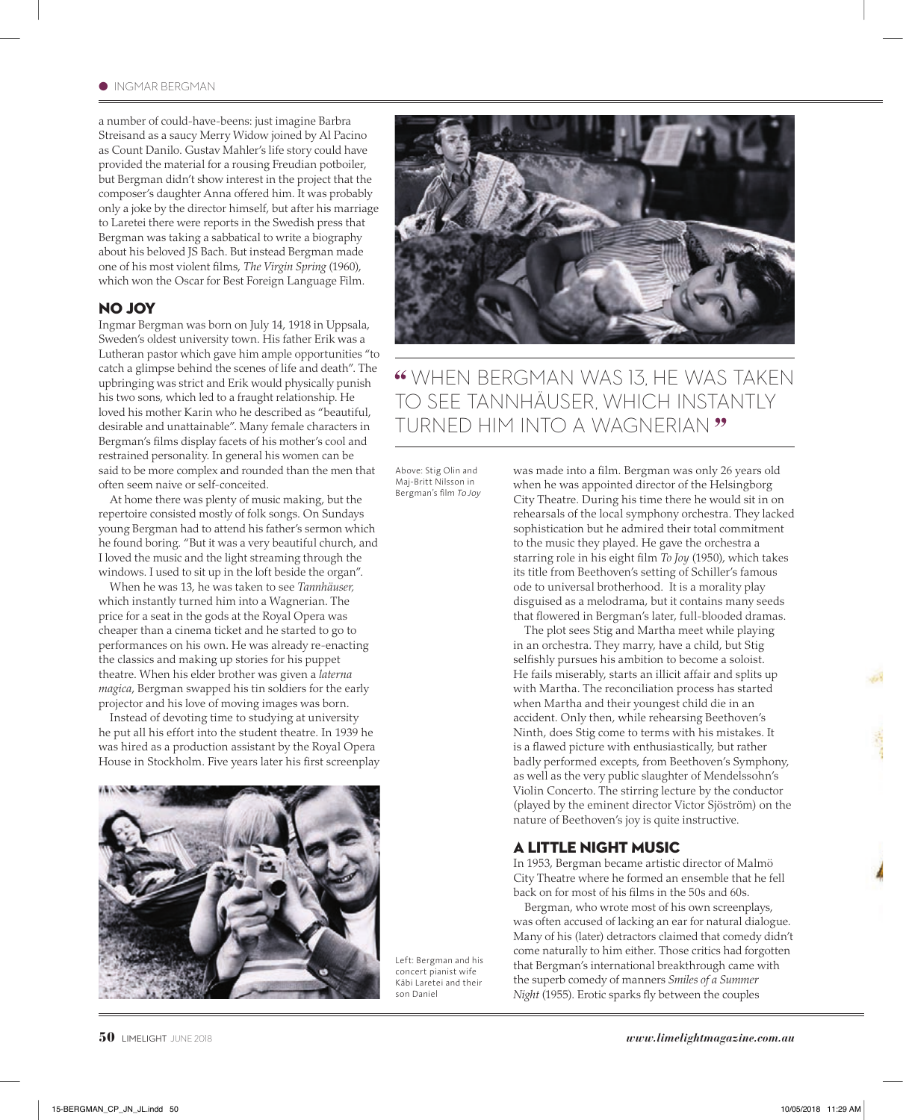a number of could-have-beens: just imagine Barbra Streisand as a saucy Merry Widow joined by Al Pacino as Count Danilo. Gustav Mahler's life story could have provided the material for a rousing Freudian potboiler, but Bergman didn't show interest in the project that the composer's daughter Anna offered him. It was probably only a joke by the director himself, but after his marriage to Laretei there were reports in the Swedish press that Bergman was taking a sabbatical to write a biography about his beloved JS Bach. But instead Bergman made one of his most violent films, *The Virgin Spring* (1960), which won the Oscar for Best Foreign Language Film.

### NO JOY

Ingmar Bergman was born on July 14, 1918 in Uppsala, Sweden's oldest university town. His father Erik was a Lutheran pastor which gave him ample opportunities "to catch a glimpse behind the scenes of life and death". The upbringing was strict and Erik would physically punish his two sons, which led to a fraught relationship. He loved his mother Karin who he described as "beautiful, desirable and unattainable". Many female characters in Bergman's films display facets of his mother's cool and restrained personality. In general his women can be said to be more complex and rounded than the men that often seem naive or self-conceited.

At home there was plenty of music making, but the repertoire consisted mostly of folk songs. On Sundays young Bergman had to attend his father's sermon which he found boring. "But it was a very beautiful church, and I loved the music and the light streaming through the windows. I used to sit up in the loft beside the organ".

When he was 13, he was taken to see *Tannhäuser,*  which instantly turned him into a Wagnerian. The price for a seat in the gods at the Royal Opera was cheaper than a cinema ticket and he started to go to performances on his own. He was already re-enacting the classics and making up stories for his puppet theatre. When his elder brother was given a *laterna magica*, Bergman swapped his tin soldiers for the early projector and his love of moving images was born.

Instead of devoting time to studying at university he put all his effort into the student theatre. In 1939 he was hired as a production assistant by the Royal Opera House in Stockholm. Five years later his first screenplay



Left: Bergman and his concert pianist wife Käbi Laretei and their son Daniel



# WHEN BERGMAN WAS 13, HE WAS TAKEN TO SEE TANNHÄUSER, WHICH INSTANTLY TURNED HIM INTO A WAGNERIAN

Above: Stig Olin and Maj-Britt Nilsson in Bergman's film *To Joy* was made into a film. Bergman was only 26 years old when he was appointed director of the Helsingborg City Theatre. During his time there he would sit in on rehearsals of the local symphony orchestra. They lacked sophistication but he admired their total commitment to the music they played. He gave the orchestra a starring role in his eight film *To Joy* (1950), which takes its title from Beethoven's setting of Schiller's famous ode to universal brotherhood. It is a morality play disguised as a melodrama, but it contains many seeds that flowered in Bergman's later, full-blooded dramas.

The plot sees Stig and Martha meet while playing in an orchestra. They marry, have a child, but Stig selfishly pursues his ambition to become a soloist. He fails miserably, starts an illicit affair and splits up with Martha. The reconciliation process has started when Martha and their youngest child die in an accident. Only then, while rehearsing Beethoven's Ninth, does Stig come to terms with his mistakes. It is a flawed picture with enthusiastically, but rather badly performed excepts, from Beethoven's Symphony, as well as the very public slaughter of Mendelssohn's Violin Concerto. The stirring lecture by the conductor (played by the eminent director Victor Sjöström) on the nature of Beethoven's joy is quite instructive.

## A LITTLE NIGHT MUSIC

In 1953, Bergman became artistic director of Malmö City Theatre where he formed an ensemble that he fell back on for most of his films in the 50s and 60s.

Bergman, who wrote most of his own screenplays, was often accused of lacking an ear for natural dialogue. Many of his (later) detractors claimed that comedy didn't come naturally to him either. Those critics had forgotten that Bergman's international breakthrough came with the superb comedy of manners *Smiles of a Summer Night* (1955). Erotic sparks fly between the couples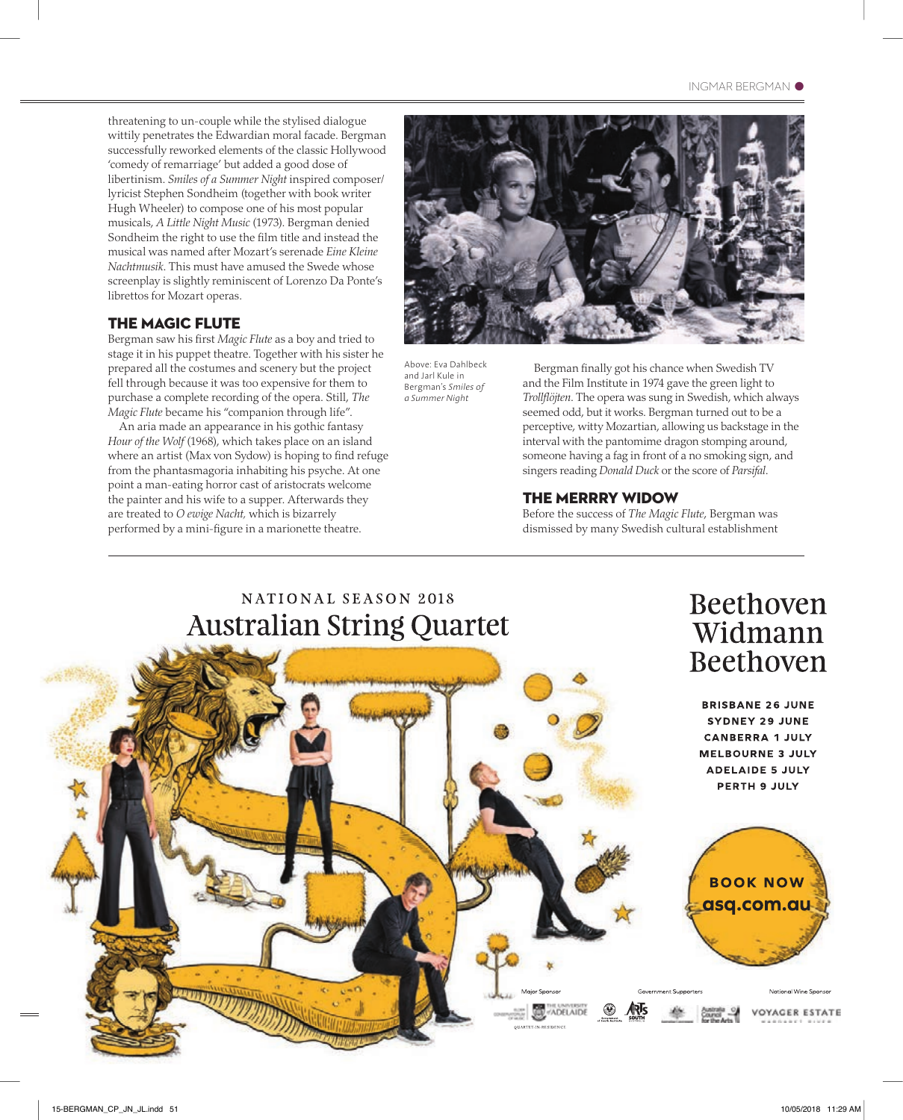threatening to un-couple while the stylised dialogue wittily penetrates the Edwardian moral facade. Bergman successfully reworked elements of the classic Hollywood 'comedy of remarriage' but added a good dose of libertinism. *Smiles of a Summer Night* inspired composer/ lyricist Stephen Sondheim (together with book writer Hugh Wheeler) to compose one of his most popular musicals, *A Little Night Music* (1973). Bergman denied Sondheim the right to use the film title and instead the musical was named after Mozart's serenade *Eine Kleine Nachtmusik*. This must have amused the Swede whose screenplay is slightly reminiscent of Lorenzo Da Ponte's librettos for Mozart operas.

#### THE MAGIC FLUTE

Bergman saw his first *Magic Flute* as a boy and tried to stage it in his puppet theatre. Together with his sister he prepared all the costumes and scenery but the project fell through because it was too expensive for them to purchase a complete recording of the opera. Still, *The Magic Flute* became his "companion through life".

An aria made an appearance in his gothic fantasy *Hour of the Wolf* (1968), which takes place on an island where an artist (Max von Sydow) is hoping to find refuge from the phantasmagoria inhabiting his psyche. At one point a man-eating horror cast of aristocrats welcome the painter and his wife to a supper. Afterwards they are treated to *O ewige Nacht,* which is bizarrely performed by a mini-figure in a marionette theatre.



Above: Eva Dahlbeck and Jarl Kule in Bergman's *Smiles of a Summer Night*

Bergman finally got his chance when Swedish TV and the Film Institute in 1974 gave the green light to *Trollflöjten*. The opera was sung in Swedish, which always seemed odd, but it works. Bergman turned out to be a perceptive, witty Mozartian, allowing us backstage in the interval with the pantomime dragon stomping around, someone having a fag in front of a no smoking sign, and singers reading *Donald Duck* or the score of *Parsifal*.

#### THE MERRRY WIDOW

Before the success of *The Magic Flute*, Bergman was dismissed by many Swedish cultural establishment